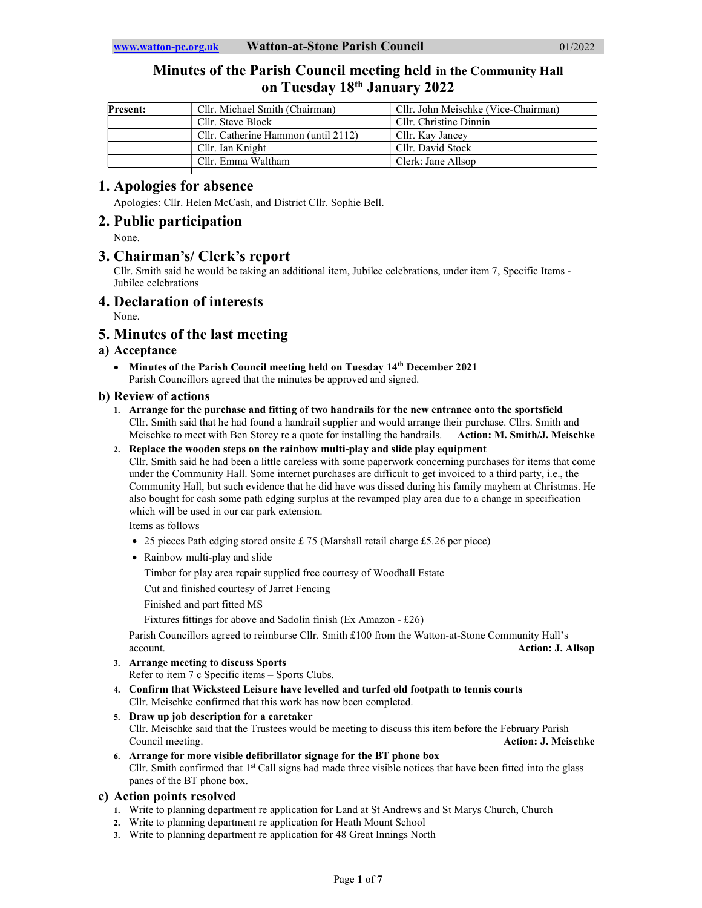# Minutes of the Parish Council meeting held in the Community Hall on Tuesday 18th January 2022

| <b>Present:</b> | Cllr. Michael Smith (Chairman)      | Cllr. John Meischke (Vice-Chairman) |
|-----------------|-------------------------------------|-------------------------------------|
|                 | Cllr. Steve Block                   | Cllr. Christine Dinnin              |
|                 | Cllr. Catherine Hammon (until 2112) | Cllr. Kay Jancey                    |
|                 | Cllr. Ian Knight                    | Cllr. David Stock                   |
|                 | Cllr. Emma Waltham                  | Clerk: Jane Allsop                  |
|                 |                                     |                                     |

## 1. Apologies for absence

Apologies: Cllr. Helen McCash, and District Cllr. Sophie Bell.

## 2. Public participation

None.

# 3. Chairman's/ Clerk's report

Cllr. Smith said he would be taking an additional item, Jubilee celebrations, under item 7, Specific Items - Jubilee celebrations

## 4. Declaration of interests

None.

# 5. Minutes of the last meeting

## a) Acceptance

• Minutes of the Parish Council meeting held on Tuesday 14<sup>th</sup> December 2021 Parish Councillors agreed that the minutes be approved and signed.

## b) Review of actions

- 1. Arrange for the purchase and fitting of two handrails for the new entrance onto the sportsfield Cllr. Smith said that he had found a handrail supplier and would arrange their purchase. Cllrs. Smith and Meischke to meet with Ben Storey re a quote for installing the handrails. Action: M. Smith/J. Meischke
- 2. Replace the wooden steps on the rainbow multi-play and slide play equipment

Cllr. Smith said he had been a little careless with some paperwork concerning purchases for items that come under the Community Hall. Some internet purchases are difficult to get invoiced to a third party, i.e., the Community Hall, but such evidence that he did have was dissed during his family mayhem at Christmas. He also bought for cash some path edging surplus at the revamped play area due to a change in specification which will be used in our car park extension.

Items as follows

- 25 pieces Path edging stored onsite £ 75 (Marshall retail charge £5.26 per piece)
- Rainbow multi-play and slide
	- Timber for play area repair supplied free courtesy of Woodhall Estate

Cut and finished courtesy of Jarret Fencing

Finished and part fitted MS

Fixtures fittings for above and Sadolin finish (Ex Amazon - £26)

Parish Councillors agreed to reimburse Cllr. Smith £100 from the Watton-at-Stone Community Hall's account. Action: J. Allsop

- 3. Arrange meeting to discuss Sports
	- Refer to item 7 c Specific items Sports Clubs.
- 4. Confirm that Wicksteed Leisure have levelled and turfed old footpath to tennis courts Cllr. Meischke confirmed that this work has now been completed.
- 5. Draw up job description for a caretaker Cllr. Meischke said that the Trustees would be meeting to discuss this item before the February Parish Council meeting. **Action: J. Meischke**
- 6. Arrange for more visible defibrillator signage for the BT phone box Cllr. Smith confirmed that  $1<sup>st</sup>$  Call signs had made three visible notices that have been fitted into the glass panes of the BT phone box.

## c) Action points resolved

- 1. Write to planning department re application for Land at St Andrews and St Marys Church, Church
- 2. Write to planning department re application for Heath Mount School
- 3. Write to planning department re application for 48 Great Innings North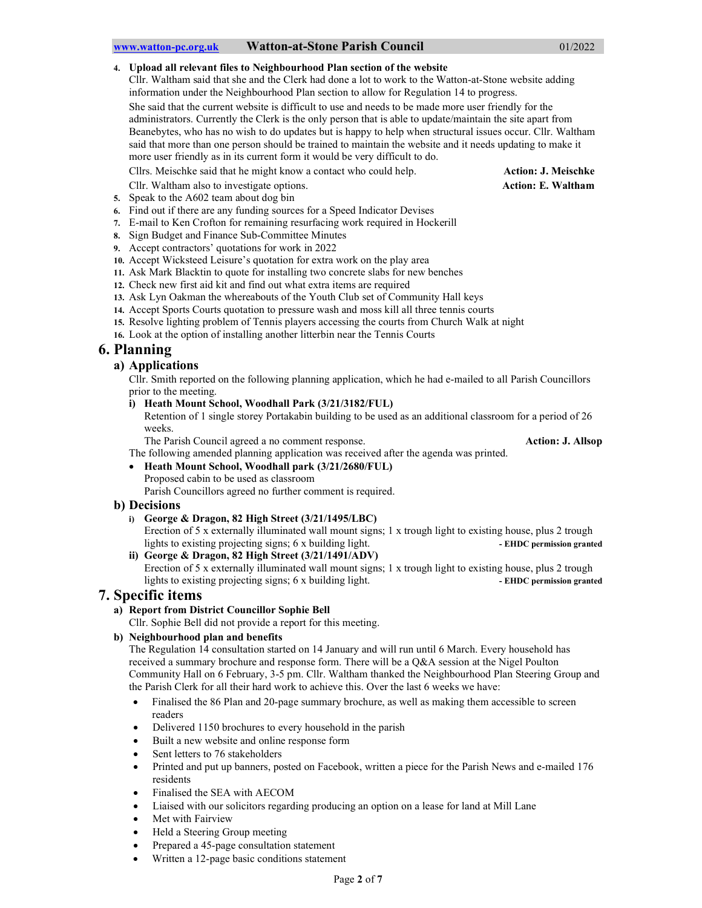#### 4. Upload all relevant files to Neighbourhood Plan section of the website

Cllr. Waltham said that she and the Clerk had done a lot to work to the Watton-at-Stone website adding information under the Neighbourhood Plan section to allow for Regulation 14 to progress. She said that the current website is difficult to use and needs to be made more user friendly for the administrators. Currently the Clerk is the only person that is able to update/maintain the site apart from Beanebytes, who has no wish to do updates but is happy to help when structural issues occur. Cllr. Waltham said that more than one person should be trained to maintain the website and it needs updating to make it more user friendly as in its current form it would be very difficult to do.

Cllrs. Meischke said that he might know a contact who could help. Action: J. Meischke

- Cllr. Waltham also to investigate options. Action: E. Waltham
- 5. Speak to the A602 team about dog bin
- 6. Find out if there are any funding sources for a Speed Indicator Devises
- 7. E-mail to Ken Crofton for remaining resurfacing work required in Hockerill
- 8. Sign Budget and Finance Sub-Committee Minutes
- 9. Accept contractors' quotations for work in 2022
- 10. Accept Wicksteed Leisure's quotation for extra work on the play area
- 11. Ask Mark Blacktin to quote for installing two concrete slabs for new benches
- 12. Check new first aid kit and find out what extra items are required
- 13. Ask Lyn Oakman the whereabouts of the Youth Club set of Community Hall keys
- 14. Accept Sports Courts quotation to pressure wash and moss kill all three tennis courts
- 15. Resolve lighting problem of Tennis players accessing the courts from Church Walk at night
- 16. Look at the option of installing another litterbin near the Tennis Courts

# 6. Planning

## a) Applications

Cllr. Smith reported on the following planning application, which he had e-mailed to all Parish Councillors prior to the meeting.

i) Heath Mount School, Woodhall Park (3/21/3182/FUL)

Retention of 1 single storey Portakabin building to be used as an additional classroom for a period of 26 weeks.

The Parish Council agreed a no comment response. Action: J. Allsop

The following amended planning application was received after the agenda was printed.

 Heath Mount School, Woodhall park (3/21/2680/FUL) Proposed cabin to be used as classroom

## Parish Councillors agreed no further comment is required.

### b) Decisions

i) George & Dragon, 82 High Street (3/21/1495/LBC)

Erection of 5 x externally illuminated wall mount signs; 1 x trough light to existing house, plus 2 trough lights to existing projecting signs; 6 x building light. - The C permission granted ii) George & Dragon, 82 High Street (3/21/1491/ADV)

Erection of 5 x externally illuminated wall mount signs; 1 x trough light to existing house, plus 2 trough lights to existing projecting signs; 6 x building light. The state of the EHDC permission granted

## 7. Specific items

### a) Report from District Councillor Sophie Bell

Cllr. Sophie Bell did not provide a report for this meeting.

#### b) Neighbourhood plan and benefits

The Regulation 14 consultation started on 14 January and will run until 6 March. Every household has received a summary brochure and response form. There will be a Q&A session at the Nigel Poulton Community Hall on 6 February, 3-5 pm. Cllr. Waltham thanked the Neighbourhood Plan Steering Group and the Parish Clerk for all their hard work to achieve this. Over the last 6 weeks we have:

- Finalised the 86 Plan and 20-page summary brochure, as well as making them accessible to screen readers
- Delivered 1150 brochures to every household in the parish
- Built a new website and online response form
- Sent letters to 76 stakeholders
- Printed and put up banners, posted on Facebook, written a piece for the Parish News and e-mailed 176 residents
- Finalised the SEA with AECOM
- Liaised with our solicitors regarding producing an option on a lease for land at Mill Lane
- Met with Fairview
- Held a Steering Group meeting
- Prepared a 45-page consultation statement
- Written a 12-page basic conditions statement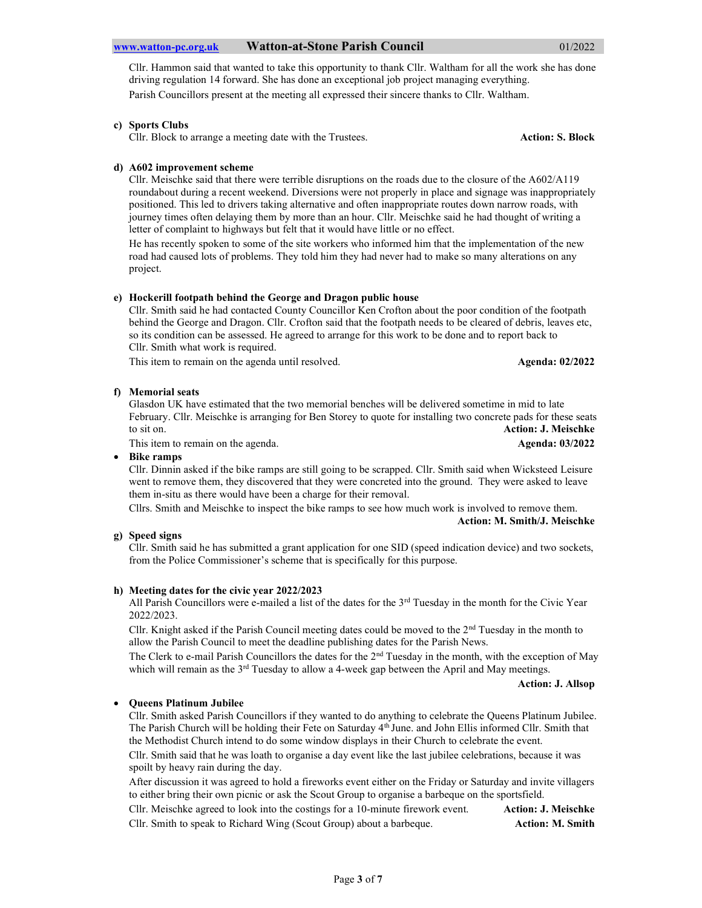Cllr. Hammon said that wanted to take this opportunity to thank Cllr. Waltham for all the work she has done driving regulation 14 forward. She has done an exceptional job project managing everything. Parish Councillors present at the meeting all expressed their sincere thanks to Cllr. Waltham.

#### c) Sports Clubs

Cllr. Block to arrange a meeting date with the Trustees. Action: S. Block

### d) A602 improvement scheme

Cllr. Meischke said that there were terrible disruptions on the roads due to the closure of the A602/A119 roundabout during a recent weekend. Diversions were not properly in place and signage was inappropriately positioned. This led to drivers taking alternative and often inappropriate routes down narrow roads, with journey times often delaying them by more than an hour. Cllr. Meischke said he had thought of writing a letter of complaint to highways but felt that it would have little or no effect.

He has recently spoken to some of the site workers who informed him that the implementation of the new road had caused lots of problems. They told him they had never had to make so many alterations on any project.

#### e) Hockerill footpath behind the George and Dragon public house

Cllr. Smith said he had contacted County Councillor Ken Crofton about the poor condition of the footpath behind the George and Dragon. Cllr. Crofton said that the footpath needs to be cleared of debris, leaves etc, so its condition can be assessed. He agreed to arrange for this work to be done and to report back to Cllr. Smith what work is required.

This item to remain on the agenda until resolved. Agenda: 02/2022 Agenda: 02/2022

#### f) Memorial seats

Glasdon UK have estimated that the two memorial benches will be delivered sometime in mid to late February. Cllr. Meischke is arranging for Ben Storey to quote for installing two concrete pads for these seats to sit on. **Action: J. Meischke** 

This item to remain on the agenda. Agenda: 03/2022

 Bike ramps Cllr. Dinnin asked if the bike ramps are still going to be scrapped. Cllr. Smith said when Wicksteed Leisure went to remove them, they discovered that they were concreted into the ground. They were asked to leave them in-situ as there would have been a charge for their removal.

Cllrs. Smith and Meischke to inspect the bike ramps to see how much work is involved to remove them. Action: M. Smith/J. Meischke

#### g) Speed signs

Cllr. Smith said he has submitted a grant application for one SID (speed indication device) and two sockets, from the Police Commissioner's scheme that is specifically for this purpose.

#### h) Meeting dates for the civic year 2022/2023

All Parish Councillors were e-mailed a list of the dates for the  $3<sup>rd</sup>$  Tuesday in the month for the Civic Year 2022/2023.

Cllr. Knight asked if the Parish Council meeting dates could be moved to the 2nd Tuesday in the month to allow the Parish Council to meet the deadline publishing dates for the Parish News.

The Clerk to e-mail Parish Councillors the dates for the 2nd Tuesday in the month, with the exception of May which will remain as the 3<sup>rd</sup> Tuesday to allow a 4-week gap between the April and May meetings.

#### Action: J. Allsop

#### • Oueens Platinum Jubilee

Cllr. Smith asked Parish Councillors if they wanted to do anything to celebrate the Queens Platinum Jubilee. The Parish Church will be holding their Fete on Saturday  $4<sup>th</sup>$  June. and John Ellis informed Cllr. Smith that the Methodist Church intend to do some window displays in their Church to celebrate the event.

Cllr. Smith said that he was loath to organise a day event like the last jubilee celebrations, because it was spoilt by heavy rain during the day.

After discussion it was agreed to hold a fireworks event either on the Friday or Saturday and invite villagers to either bring their own picnic or ask the Scout Group to organise a barbeque on the sportsfield.

Cllr. Meischke agreed to look into the costings for a 10-minute firework event. Action: J. Meischke Cllr. Smith to speak to Richard Wing (Scout Group) about a barbeque. Action: M. Smith Action: M. Smith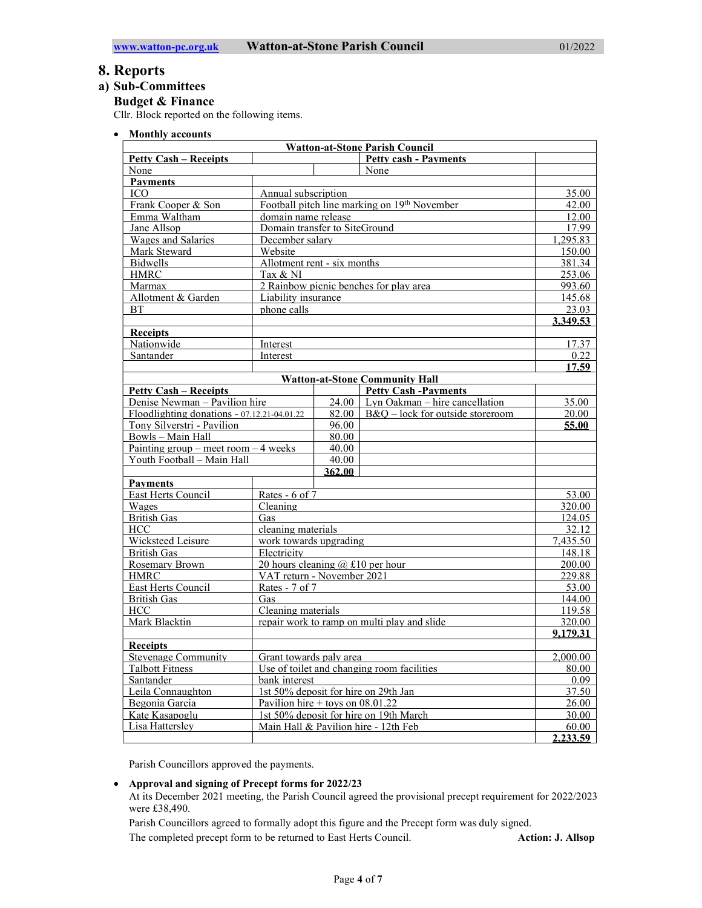## 8. Reports

## a) Sub-Committees

## Budget & Finance

Cllr. Block reported on the following items.

• Monthly accounts

| <b>Watton-at-Stone Parish Council</b>                        |                                            |                                              |                                       |                 |  |  |
|--------------------------------------------------------------|--------------------------------------------|----------------------------------------------|---------------------------------------|-----------------|--|--|
| <b>Petty cash - Payments</b><br><b>Petty Cash – Receipts</b> |                                            |                                              |                                       |                 |  |  |
| None                                                         |                                            |                                              | None                                  |                 |  |  |
| <b>Payments</b>                                              |                                            |                                              |                                       |                 |  |  |
| Annual subscription<br>ICO.                                  |                                            |                                              | 35.00                                 |                 |  |  |
| Frank Cooper & Son                                           |                                            | Football pitch line marking on 19th November |                                       | 42.00           |  |  |
| Emma Waltham                                                 | domain name release                        |                                              | 12.00                                 |                 |  |  |
| Jane Allsop                                                  | Domain transfer to SiteGround              |                                              | 17.99                                 |                 |  |  |
| Wages and Salaries                                           | December salary                            |                                              | 1,295.83                              |                 |  |  |
| Mark Steward                                                 | Website                                    |                                              | 150.00                                |                 |  |  |
| <b>Bidwells</b>                                              | Allotment rent - six months                |                                              | 381.34                                |                 |  |  |
| <b>HMRC</b>                                                  | Tax & NI                                   |                                              | 253.06                                |                 |  |  |
| Marmax                                                       | 2 Rainbow picnic benches for play area     |                                              | 993.60                                |                 |  |  |
| Allotment & Garden                                           |                                            | Liability insurance                          |                                       | 145.68          |  |  |
| <b>BT</b>                                                    | phone calls                                |                                              | 23.03                                 |                 |  |  |
|                                                              |                                            |                                              |                                       | 3.349.53        |  |  |
| <b>Receipts</b>                                              |                                            |                                              |                                       |                 |  |  |
| Nationwide                                                   | Interest                                   |                                              |                                       | 17.37           |  |  |
| Santander                                                    | Interest                                   |                                              |                                       | 0.22            |  |  |
|                                                              |                                            |                                              |                                       | 17.59           |  |  |
|                                                              |                                            |                                              | <b>Watton-at-Stone Community Hall</b> |                 |  |  |
| <b>Petty Cash - Receipts</b>                                 |                                            |                                              | <b>Petty Cash -Payments</b>           |                 |  |  |
| Denise Newman - Pavilion hire                                |                                            | 24.00                                        | Lyn Oakman - hire cancellation        | 35.00           |  |  |
| Floodlighting donations - $07.12.21 - 04.01.22$              |                                            | 82.00                                        | $B&O$ – lock for outside storeroom    | 20.00           |  |  |
| Tony Silverstri - Pavilion                                   |                                            | 96.00                                        |                                       | 55.00           |  |  |
| Bowls - Main Hall                                            |                                            | 80.00                                        |                                       |                 |  |  |
| Painting group – meet room – 4 weeks                         |                                            | 40.00                                        |                                       |                 |  |  |
| Youth Football - Main Hall                                   |                                            | 40.00                                        |                                       |                 |  |  |
|                                                              |                                            | 362.00                                       |                                       |                 |  |  |
| <b>Payments</b>                                              |                                            |                                              |                                       |                 |  |  |
| East Herts Council                                           | Rates - 6 of 7                             |                                              |                                       | 53.00           |  |  |
| Wages                                                        | Cleaning                                   |                                              |                                       | 320.00          |  |  |
| <b>British Gas</b><br>Gas                                    |                                            |                                              |                                       | 124.05          |  |  |
| <b>HCC</b>                                                   |                                            | cleaning materials                           |                                       | 32.12           |  |  |
| Wicksteed Leisure                                            |                                            | work towards upgrading                       |                                       | 7,435.50        |  |  |
| <b>British Gas</b>                                           |                                            | Electricity                                  |                                       | 148.18          |  |  |
| Rosemary Brown                                               |                                            | 20 hours cleaning $(a)$ £10 per hour         |                                       | 200.00          |  |  |
| <b>HMRC</b><br>VAT return - November 2021                    |                                            |                                              |                                       | 229.88          |  |  |
| East Herts Council<br>Rates - 7 of 7                         |                                            |                                              |                                       | 53.00           |  |  |
| <b>British Gas</b><br>Gas                                    |                                            | 144.00                                       |                                       |                 |  |  |
| Cleaning materials<br><b>HCC</b>                             |                                            |                                              | 119.58                                |                 |  |  |
| Mark Blacktin                                                |                                            | repair work to ramp on multi play and slide  |                                       | 320.00          |  |  |
|                                                              |                                            |                                              |                                       | 9,179.31        |  |  |
| <b>Receipts</b>                                              |                                            |                                              |                                       |                 |  |  |
| Stevenage Community                                          |                                            | Grant towards paly area                      |                                       | <u>2,000.00</u> |  |  |
| <b>Talbott Fitness</b>                                       | Use of toilet and changing room facilities |                                              | 80.00                                 |                 |  |  |
| Santander                                                    | bank interest                              |                                              | 0.09                                  |                 |  |  |
| Leila Connaughton                                            | 1st 50% deposit for hire on 29th Jan       |                                              | 37.50                                 |                 |  |  |
| Begonia Garcia                                               | Pavilion hire + toys on $08.01.22$         |                                              | 26.00                                 |                 |  |  |
| Kate Kasapoglu                                               | 1st 50% deposit for hire on 19th March     |                                              | 30.00                                 |                 |  |  |
| Lisa Hatterslev                                              | Main Hall & Pavilion hire - 12th Feb       |                                              | 60.00                                 |                 |  |  |
|                                                              |                                            |                                              |                                       | 2.233.59        |  |  |

Parish Councillors approved the payments.

#### Approval and signing of Precept forms for 2022/23

At its December 2021 meeting, the Parish Council agreed the provisional precept requirement for 2022/2023 were £38,490.

Parish Councillors agreed to formally adopt this figure and the Precept form was duly signed.

The completed precept form to be returned to East Herts Council. **Action: J. Allsop** Action: J. Allsop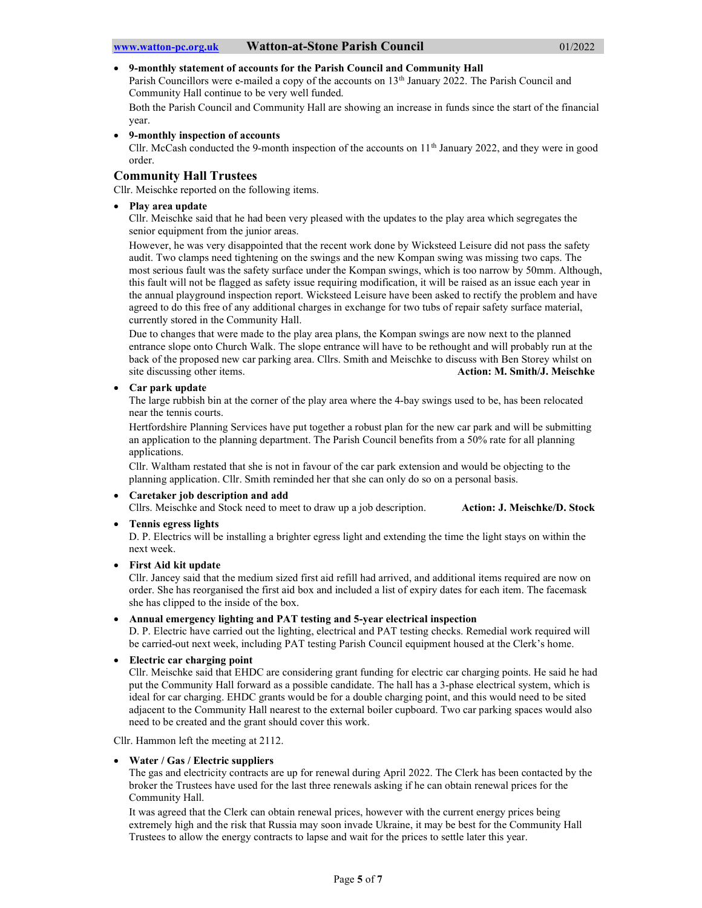## 9-monthly statement of accounts for the Parish Council and Community Hall

Parish Councillors were e-mailed a copy of the accounts on 13<sup>th</sup> January 2022. The Parish Council and Community Hall continue to be very well funded.

Both the Parish Council and Community Hall are showing an increase in funds since the start of the financial year.

9-monthly inspection of accounts

Cllr. McCash conducted the 9-month inspection of the accounts on  $11<sup>th</sup>$  January 2022, and they were in good order.

## Community Hall Trustees

Cllr. Meischke reported on the following items.

• Play area update

Cllr. Meischke said that he had been very pleased with the updates to the play area which segregates the senior equipment from the junior areas.

However, he was very disappointed that the recent work done by Wicksteed Leisure did not pass the safety audit. Two clamps need tightening on the swings and the new Kompan swing was missing two caps. The most serious fault was the safety surface under the Kompan swings, which is too narrow by 50mm. Although, this fault will not be flagged as safety issue requiring modification, it will be raised as an issue each year in the annual playground inspection report. Wicksteed Leisure have been asked to rectify the problem and have agreed to do this free of any additional charges in exchange for two tubs of repair safety surface material, currently stored in the Community Hall.

Due to changes that were made to the play area plans, the Kompan swings are now next to the planned entrance slope onto Church Walk. The slope entrance will have to be rethought and will probably run at the back of the proposed new car parking area. Cllrs. Smith and Meischke to discuss with Ben Storey whilst on site discussing other items. Action: M. Smith/J. Meischke

#### Car park update

The large rubbish bin at the corner of the play area where the 4-bay swings used to be, has been relocated near the tennis courts.

Hertfordshire Planning Services have put together a robust plan for the new car park and will be submitting an application to the planning department. The Parish Council benefits from a 50% rate for all planning applications.

Cllr. Waltham restated that she is not in favour of the car park extension and would be objecting to the planning application. Cllr. Smith reminded her that she can only do so on a personal basis.

#### Caretaker job description and add

Cllrs. Meischke and Stock need to meet to draw up a job description. Action: J. Meischke/D. Stock

## • Tennis egress lights

D. P. Electrics will be installing a brighter egress light and extending the time the light stays on within the next week.

• First Aid kit update

Cllr. Jancey said that the medium sized first aid refill had arrived, and additional items required are now on order. She has reorganised the first aid box and included a list of expiry dates for each item. The facemask she has clipped to the inside of the box.

Annual emergency lighting and PAT testing and 5-year electrical inspection

D. P. Electric have carried out the lighting, electrical and PAT testing checks. Remedial work required will be carried-out next week, including PAT testing Parish Council equipment housed at the Clerk's home.

Electric car charging point

Cllr. Meischke said that EHDC are considering grant funding for electric car charging points. He said he had put the Community Hall forward as a possible candidate. The hall has a 3-phase electrical system, which is ideal for car charging. EHDC grants would be for a double charging point, and this would need to be sited adjacent to the Community Hall nearest to the external boiler cupboard. Two car parking spaces would also need to be created and the grant should cover this work.

Cllr. Hammon left the meeting at 2112.

#### Water / Gas / Electric suppliers

The gas and electricity contracts are up for renewal during April 2022. The Clerk has been contacted by the broker the Trustees have used for the last three renewals asking if he can obtain renewal prices for the Community Hall.

It was agreed that the Clerk can obtain renewal prices, however with the current energy prices being extremely high and the risk that Russia may soon invade Ukraine, it may be best for the Community Hall Trustees to allow the energy contracts to lapse and wait for the prices to settle later this year.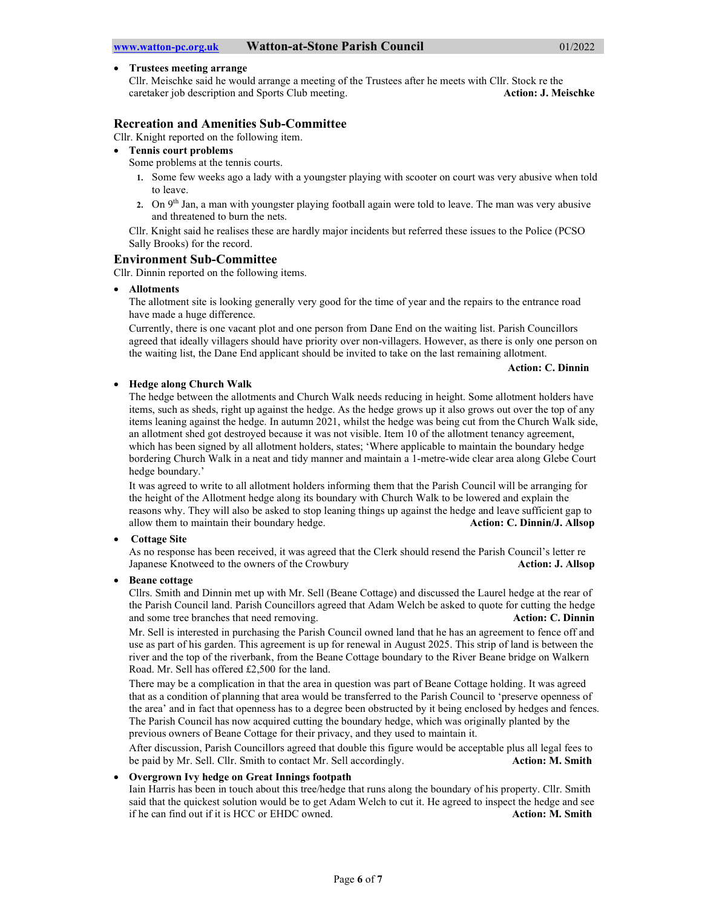#### Trustees meeting arrange

Cllr. Meischke said he would arrange a meeting of the Trustees after he meets with Cllr. Stock re the caretaker job description and Sports Club meeting. **Action: J. Meischke** Action: J. Meischke

## Recreation and Amenities Sub-Committee

Cllr. Knight reported on the following item.

Tennis court problems

Some problems at the tennis courts.

- 1. Some few weeks ago a lady with a youngster playing with scooter on court was very abusive when told to leave.
- 2. On 9<sup>th</sup> Jan, a man with youngster playing football again were told to leave. The man was very abusive and threatened to burn the nets.

Cllr. Knight said he realises these are hardly major incidents but referred these issues to the Police (PCSO Sally Brooks) for the record.

### Environment Sub-Committee

Cllr. Dinnin reported on the following items.

#### Allotments

The allotment site is looking generally very good for the time of year and the repairs to the entrance road have made a huge difference.

Currently, there is one vacant plot and one person from Dane End on the waiting list. Parish Councillors agreed that ideally villagers should have priority over non-villagers. However, as there is only one person on the waiting list, the Dane End applicant should be invited to take on the last remaining allotment.

### Action: C. Dinnin

### Hedge along Church Walk

The hedge between the allotments and Church Walk needs reducing in height. Some allotment holders have items, such as sheds, right up against the hedge. As the hedge grows up it also grows out over the top of any items leaning against the hedge. In autumn 2021, whilst the hedge was being cut from the Church Walk side, an allotment shed got destroyed because it was not visible. Item 10 of the allotment tenancy agreement, which has been signed by all allotment holders, states; 'Where applicable to maintain the boundary hedge bordering Church Walk in a neat and tidy manner and maintain a 1-metre-wide clear area along Glebe Court hedge boundary.'

It was agreed to write to all allotment holders informing them that the Parish Council will be arranging for the height of the Allotment hedge along its boundary with Church Walk to be lowered and explain the reasons why. They will also be asked to stop leaning things up against the hedge and leave sufficient gap to allow them to maintain their boundary hedge. Action: C. Dinnin/J. Allsop

### • Cottage Site

As no response has been received, it was agreed that the Clerk should resend the Parish Council's letter re Japanese Knotweed to the owners of the Crowbury Action: J. Allsop

#### Beane cottage

Cllrs. Smith and Dinnin met up with Mr. Sell (Beane Cottage) and discussed the Laurel hedge at the rear of the Parish Council land. Parish Councillors agreed that Adam Welch be asked to quote for cutting the hedge and some tree branches that need removing. Action: C. Dinnin

Mr. Sell is interested in purchasing the Parish Council owned land that he has an agreement to fence off and use as part of his garden. This agreement is up for renewal in August 2025. This strip of land is between the river and the top of the riverbank, from the Beane Cottage boundary to the River Beane bridge on Walkern Road. Mr. Sell has offered £2,500 for the land.

There may be a complication in that the area in question was part of Beane Cottage holding. It was agreed that as a condition of planning that area would be transferred to the Parish Council to 'preserve openness of the area' and in fact that openness has to a degree been obstructed by it being enclosed by hedges and fences. The Parish Council has now acquired cutting the boundary hedge, which was originally planted by the previous owners of Beane Cottage for their privacy, and they used to maintain it.

After discussion, Parish Councillors agreed that double this figure would be acceptable plus all legal fees to be paid by Mr. Sell. Cllr. Smith to contact Mr. Sell accordingly. **Action: M. Smith** Action: M. Smith

### Overgrown Ivy hedge on Great Innings footpath

Iain Harris has been in touch about this tree/hedge that runs along the boundary of his property. Cllr. Smith said that the quickest solution would be to get Adam Welch to cut it. He agreed to inspect the hedge and see if he can find out if it is HCC or EHDC owned. Action: M. Smith